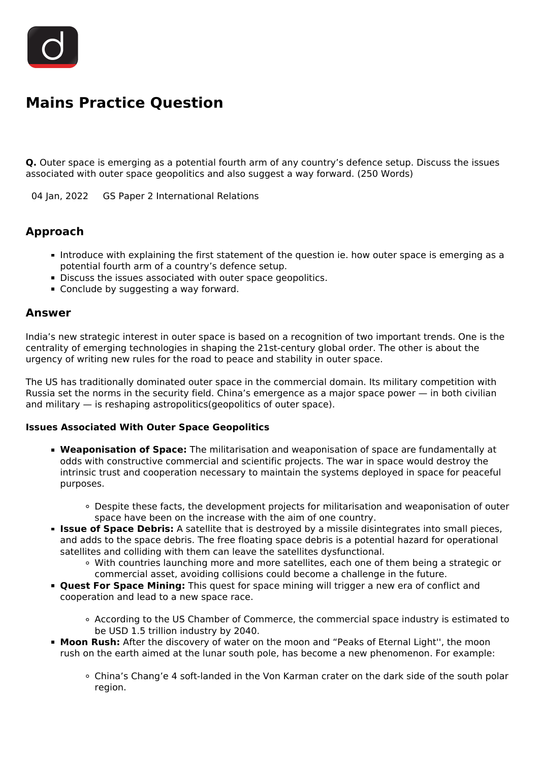

# **Mains Practice Question**

**Q.** Outer space is emerging as a potential fourth arm of any country's defence setup. Discuss the issues associated with outer space geopolitics and also suggest a way forward. (250 Words)

04 Jan, 2022 GS Paper 2 International Relations

## **Approach**

- Introduce with explaining the first statement of the question ie. how outer space is emerging as a potential fourth arm of a country's defence setup.
- Discuss the issues associated with outer space geopolitics.
- Conclude by suggesting a way forward.

### **Answer**

India's new strategic interest in outer space is based on a recognition of two important trends. One is the centrality of emerging technologies in shaping the 21st-century global order. The other is about the urgency of writing new rules for the road to peace and stability in outer space.

The US has traditionally dominated outer space in the commercial domain. Its military competition with Russia set the norms in the security field. China's emergence as a major space power — in both civilian and military — is reshaping astropolitics(geopolitics of outer space).

#### **Issues Associated With Outer Space Geopolitics**

- **Weaponisation of Space:** The militarisation and weaponisation of space are fundamentally at odds with constructive commercial and scientific projects. The war in space would destroy the intrinsic trust and cooperation necessary to maintain the systems deployed in space for peaceful purposes.
	- Despite these facts, the development projects for militarisation and weaponisation of outer space have been on the increase with the aim of one country.
- **Issue of Space Debris:** A satellite that is destroyed by a missile disintegrates into small pieces, and adds to the space debris. The free floating space debris is a potential hazard for operational satellites and colliding with them can leave the satellites dysfunctional.
	- With countries launching more and more satellites, each one of them being a strategic or commercial asset, avoiding collisions could become a challenge in the future.
- **Quest For Space Mining:** This quest for space mining will trigger a new era of conflict and cooperation and lead to a new space race.
	- According to the US Chamber of Commerce, the commercial space industry is estimated to be USD 1.5 trillion industry by 2040.
- **Moon Rush:** After the discovery of water on the moon and "Peaks of Eternal Light'', the moon rush on the earth aimed at the lunar south pole, has become a new phenomenon. For example:
	- China's Chang'e 4 soft-landed in the Von Karman crater on the dark side of the south polar region.